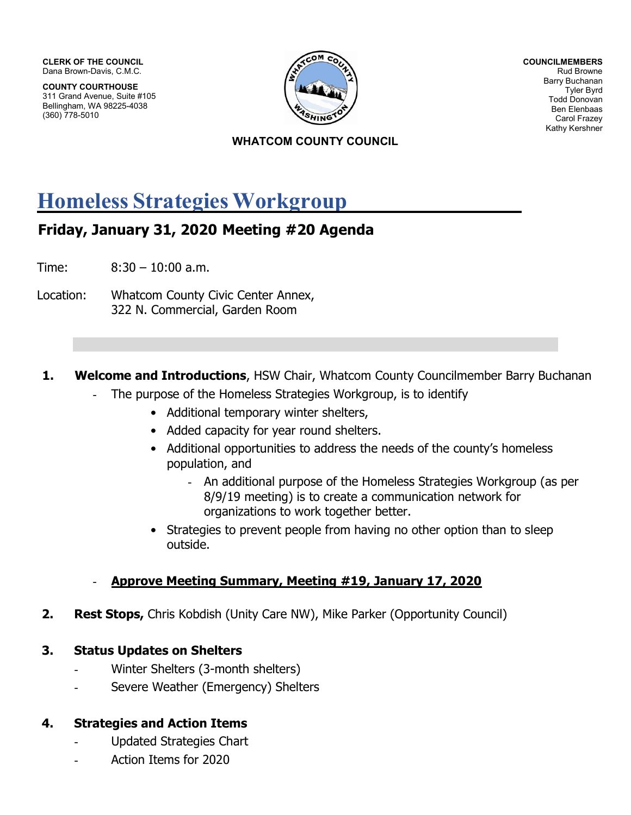CLERK OF THE COUNCIL Dana Brown-Davis, C.M.C.

COUNTY COURTHOUSE 311 Grand Avenue, Suite #105 Bellingham, WA 98225-4038 (360) 778-5010



COUNCILMEMBERS Rud Browne Barry Buchanan Tyler Byrd Todd Donovan Ben Elenbaas Carol Frazey Kathy Kershner

### WHATCOM COUNTY COUNCIL

# Homeless Strategies Workgroup

## Friday, January 31, 2020 Meeting #20 Agenda

Time: 8:30 – 10:00 a.m.

Location: Whatcom County Civic Center Annex, 322 N. Commercial, Garden Room

### **1. Welcome and Introductions**, HSW Chair, Whatcom County Councilmember Barry Buchanan

- The purpose of the Homeless Strategies Workgroup, is to identify
	- Additional temporary winter shelters,
	- Added capacity for year round shelters.
	- Additional opportunities to address the needs of the county's homeless population, and
		- An additional purpose of the Homeless Strategies Workgroup (as per 8/9/19 meeting) is to create a communication network for organizations to work together better.
	- Strategies to prevent people from having no other option than to sleep outside.

### Approve Meeting Summary, Meeting #19, January 17, 2020

**2.** Rest Stops, Chris Kobdish (Unity Care NW), Mike Parker (Opportunity Council)

## 3. Status Updates on Shelters

- Winter Shelters (3-month shelters)
- Severe Weather (Emergency) Shelters

## 4. Strategies and Action Items

- Updated Strategies Chart
- Action Items for 2020